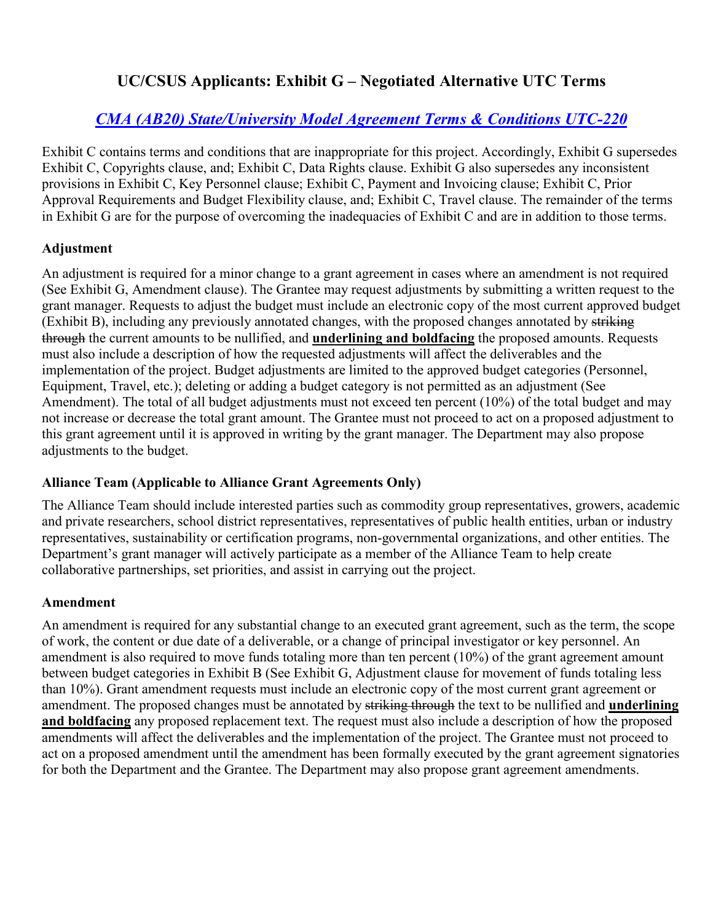# **UC/CSUS Applicants: Exhibit G – Negotiated Alternative UTC Terms**

# *[CMA \(AB20\) State/University Model Agreement Terms & Conditions UTC-220](https://www.ucop.edu/research-policy-analysis-coordination/research-sponsors-agreements/state-of-california/cma-templates.html)*

Exhibit C contains terms and conditions that are inappropriate for this project. Accordingly, Exhibit G supersedes Exhibit C, Copyrights clause, and; Exhibit C, Data Rights clause. Exhibit G also supersedes any inconsistent provisions in Exhibit C, Key Personnel clause; Exhibit C, Payment and Invoicing clause; Exhibit C, Prior Approval Requirements and Budget Flexibility clause, and; Exhibit C, Travel clause. The remainder of the terms in Exhibit G are for the purpose of overcoming the inadequacies of Exhibit C and are in addition to those terms.

### **Adjustment**

An adjustment is required for a minor change to a grant agreement in cases where an amendment is not required (See Exhibit G, Amendment clause). The Grantee may request adjustments by submitting a written request to the grant manager. Requests to adjust the budget must include an electronic copy of the most current approved budget (Exhibit B), including any previously annotated changes, with the proposed changes annotated by striking through the current amounts to be nullified, and **underlining and boldfacing** the proposed amounts. Requests must also include a description of how the requested adjustments will affect the deliverables and the implementation of the project. Budget adjustments are limited to the approved budget categories (Personnel, Equipment, Travel, etc.); deleting or adding a budget category is not permitted as an adjustment (See Amendment). The total of all budget adjustments must not exceed ten percent (10%) of the total budget and may not increase or decrease the total grant amount. The Grantee must not proceed to act on a proposed adjustment to this grant agreement until it is approved in writing by the grant manager. The Department may also propose adjustments to the budget.

### **Alliance Team (Applicable to Alliance Grant Agreements Only)**

The Alliance Team should include interested parties such as commodity group representatives, growers, academic and private researchers, school district representatives, representatives of public health entities, urban or industry representatives, sustainability or certification programs, non-governmental organizations, and other entities. The Department's grant manager will actively participate as a member of the Alliance Team to help create collaborative partnerships, set priorities, and assist in carrying out the project.

### **Amendment**

An amendment is required for any substantial change to an executed grant agreement, such as the term, the scope of work, the content or due date of a deliverable, or a change of principal investigator or key personnel. An amendment is also required to move funds totaling more than ten percent (10%) of the grant agreement amount between budget categories in Exhibit B (See Exhibit G, Adjustment clause for movement of funds totaling less than 10%). Grant amendment requests must include an electronic copy of the most current grant agreement or amendment. The proposed changes must be annotated by striking through the text to be nullified and **underlining and boldfacing** any proposed replacement text. The request must also include a description of how the proposed amendments will affect the deliverables and the implementation of the project. The Grantee must not proceed to act on a proposed amendment until the amendment has been formally executed by the grant agreement signatories for both the Department and the Grantee. The Department may also propose grant agreement amendments.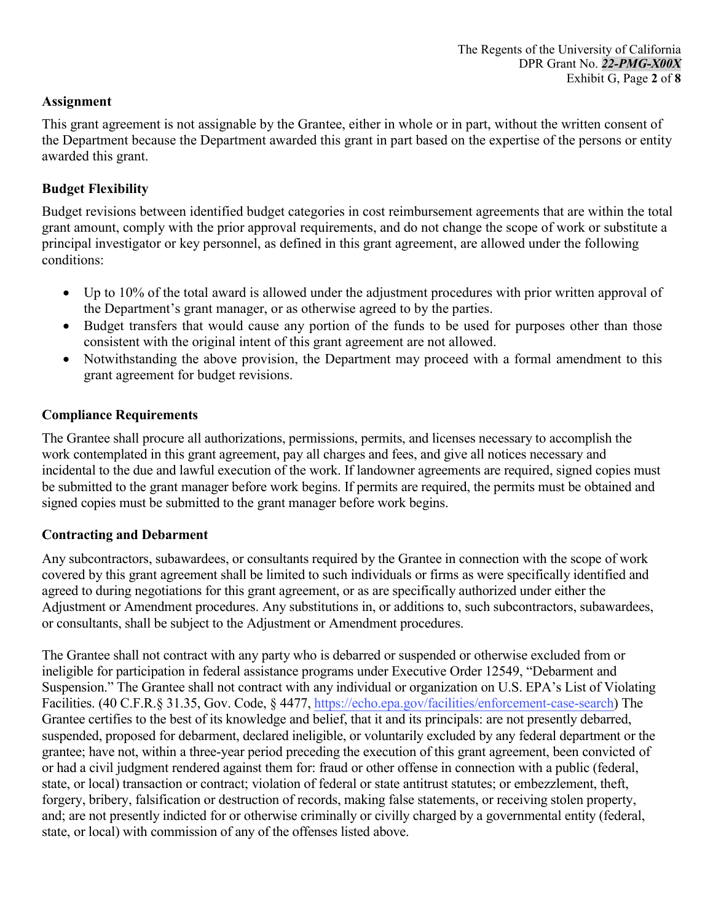### **Assignment**

This grant agreement is not assignable by the Grantee, either in whole or in part, without the written consent of the Department because the Department awarded this grant in part based on the expertise of the persons or entity awarded this grant.

### **Budget Flexibility**

Budget revisions between identified budget categories in cost reimbursement agreements that are within the total grant amount, comply with the prior approval requirements, and do not change the scope of work or substitute a principal investigator or key personnel, as defined in this grant agreement, are allowed under the following conditions:

- Up to 10% of the total award is allowed under the adjustment procedures with prior written approval of the Department's grant manager, or as otherwise agreed to by the parties.
- Budget transfers that would cause any portion of the funds to be used for purposes other than those consistent with the original intent of this grant agreement are not allowed.
- Notwithstanding the above provision, the Department may proceed with a formal amendment to this grant agreement for budget revisions.

#### **Compliance Requirements**

The Grantee shall procure all authorizations, permissions, permits, and licenses necessary to accomplish the work contemplated in this grant agreement, pay all charges and fees, and give all notices necessary and incidental to the due and lawful execution of the work. If landowner agreements are required, signed copies must be submitted to the grant manager before work begins. If permits are required, the permits must be obtained and signed copies must be submitted to the grant manager before work begins.

#### **Contracting and Debarment**

Any subcontractors, subawardees, or consultants required by the Grantee in connection with the scope of work covered by this grant agreement shall be limited to such individuals or firms as were specifically identified and agreed to during negotiations for this grant agreement, or as are specifically authorized under either the Adjustment or Amendment procedures. Any substitutions in, or additions to, such subcontractors, subawardees, or consultants, shall be subject to the Adjustment or Amendment procedures.

The Grantee shall not contract with any party who is debarred or suspended or otherwise excluded from or ineligible for participation in federal assistance programs under Executive Order 12549, "Debarment and Suspension." The Grantee shall not contract with any individual or organization on U.S. EPA's List of Violating Facilities. (40 C.F.R.§ 31.35, Gov. Code, § 4477, <https://echo.epa.gov/facilities/enforcement-case-search>) The Grantee certifies to the best of its knowledge and belief, that it and its principals: are not presently debarred, suspended, proposed for debarment, declared ineligible, or voluntarily excluded by any federal department or the grantee; have not, within a three-year period preceding the execution of this grant agreement, been convicted of or had a civil judgment rendered against them for: fraud or other offense in connection with a public (federal, state, or local) transaction or contract; violation of federal or state antitrust statutes; or embezzlement, theft, forgery, bribery, falsification or destruction of records, making false statements, or receiving stolen property, and; are not presently indicted for or otherwise criminally or civilly charged by a governmental entity (federal, state, or local) with commission of any of the offenses listed above.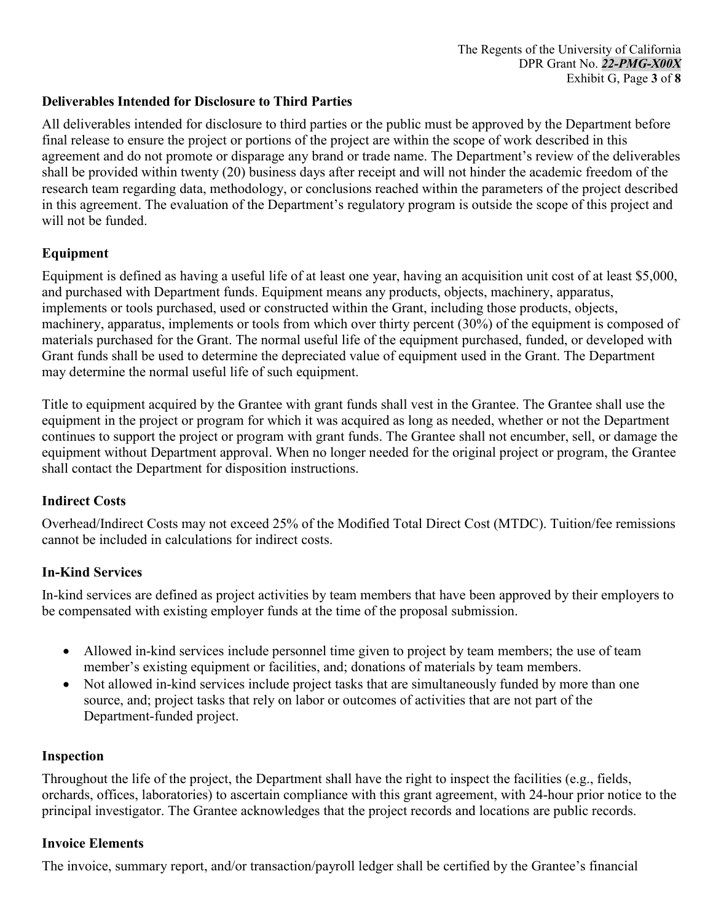### **Deliverables Intended for Disclosure to Third Parties**

All deliverables intended for disclosure to third parties or the public must be approved by the Department before final release to ensure the project or portions of the project are within the scope of work described in this agreement and do not promote or disparage any brand or trade name. The Department's review of the deliverables shall be provided within twenty (20) business days after receipt and will not hinder the academic freedom of the research team regarding data, methodology, or conclusions reached within the parameters of the project described in this agreement. The evaluation of the Department's regulatory program is outside the scope of this project and will not be funded.

# **Equipment**

Equipment is defined as having a useful life of at least one year, having an acquisition unit cost of at least \$5,000, and purchased with Department funds. Equipment means any products, objects, machinery, apparatus, implements or tools purchased, used or constructed within the Grant, including those products, objects, machinery, apparatus, implements or tools from which over thirty percent (30%) of the equipment is composed of materials purchased for the Grant. The normal useful life of the equipment purchased, funded, or developed with Grant funds shall be used to determine the depreciated value of equipment used in the Grant. The Department may determine the normal useful life of such equipment.

Title to equipment acquired by the Grantee with grant funds shall vest in the Grantee. The Grantee shall use the equipment in the project or program for which it was acquired as long as needed, whether or not the Department continues to support the project or program with grant funds. The Grantee shall not encumber, sell, or damage the equipment without Department approval. When no longer needed for the original project or program, the Grantee shall contact the Department for disposition instructions.

### **Indirect Costs**

Overhead/Indirect Costs may not exceed 25% of the Modified Total Direct Cost (MTDC). Tuition/fee remissions cannot be included in calculations for indirect costs.

# **In-Kind Services**

In-kind services are defined as project activities by team members that have been approved by their employers to be compensated with existing employer funds at the time of the proposal submission.

- Allowed in-kind services include personnel time given to project by team members; the use of team member's existing equipment or facilities, and; donations of materials by team members.
- Not allowed in-kind services include project tasks that are simultaneously funded by more than one source, and; project tasks that rely on labor or outcomes of activities that are not part of the Department-funded project.

### **Inspection**

Throughout the life of the project, the Department shall have the right to inspect the facilities (e.g., fields, orchards, offices, laboratories) to ascertain compliance with this grant agreement, with 24-hour prior notice to the principal investigator. The Grantee acknowledges that the project records and locations are public records.

### **Invoice Elements**

The invoice, summary report, and/or transaction/payroll ledger shall be certified by the Grantee's financial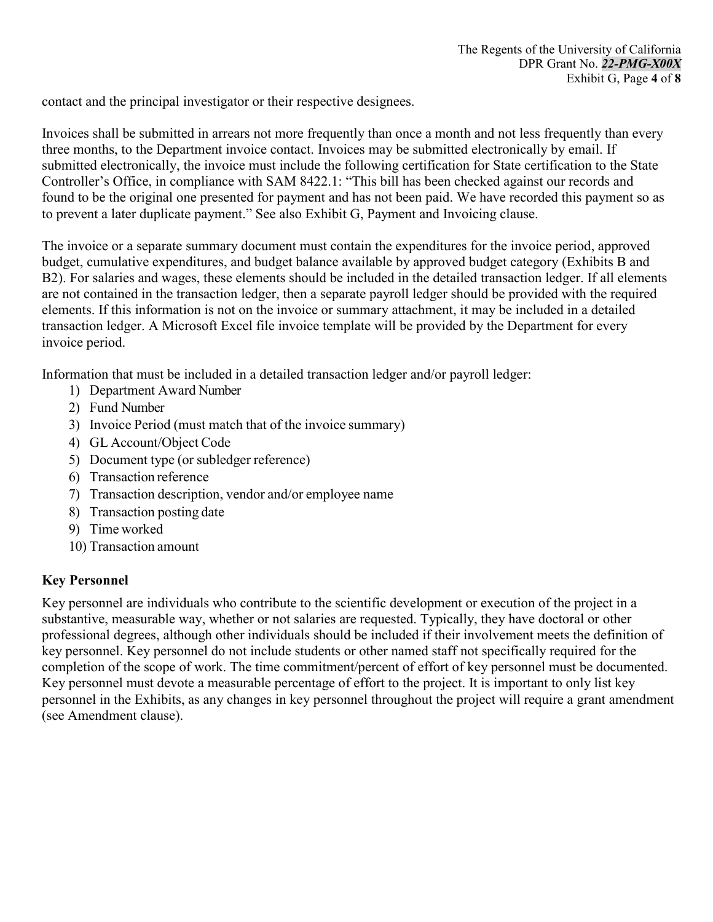contact and the principal investigator or their respective designees.

Invoices shall be submitted in arrears not more frequently than once a month and not less frequently than every three months, to the Department invoice contact. Invoices may be submitted electronically by email. If submitted electronically, the invoice must include the following certification for State certification to the State Controller's Office, in compliance with SAM 8422.1: "This bill has been checked against our records and found to be the original one presented for payment and has not been paid. We have recorded this payment so as to prevent a later duplicate payment." See also Exhibit G, Payment and Invoicing clause.

The invoice or a separate summary document must contain the expenditures for the invoice period, approved budget, cumulative expenditures, and budget balance available by approved budget category (Exhibits B and B2). For salaries and wages, these elements should be included in the detailed transaction ledger. If all elements are not contained in the transaction ledger, then a separate payroll ledger should be provided with the required elements. If this information is not on the invoice or summary attachment, it may be included in a detailed transaction ledger. A Microsoft Excel file invoice template will be provided by the Department for every invoice period.

Information that must be included in a detailed transaction ledger and/or payroll ledger:

- 1) Department Award Number
- 2) Fund Number
- 3) Invoice Period (must match that of the invoice summary)
- 4) GL Account/Object Code
- 5) Document type (or subledger reference)
- 6) Transaction reference
- 7) Transaction description, vendor and/or employee name
- 8) Transaction posting date
- 9) Time worked
- 10) Transaction amount

### **Key Personnel**

Key personnel are individuals who contribute to the scientific development or execution of the project in a substantive, measurable way, whether or not salaries are requested. Typically, they have doctoral or other professional degrees, although other individuals should be included if their involvement meets the definition of key personnel. Key personnel do not include students or other named staff not specifically required for the completion of the scope of work. The time commitment/percent of effort of key personnel must be documented. Key personnel must devote a measurable percentage of effort to the project. It is important to only list key personnel in the Exhibits, as any changes in key personnel throughout the project will require a grant amendment (see Amendment clause).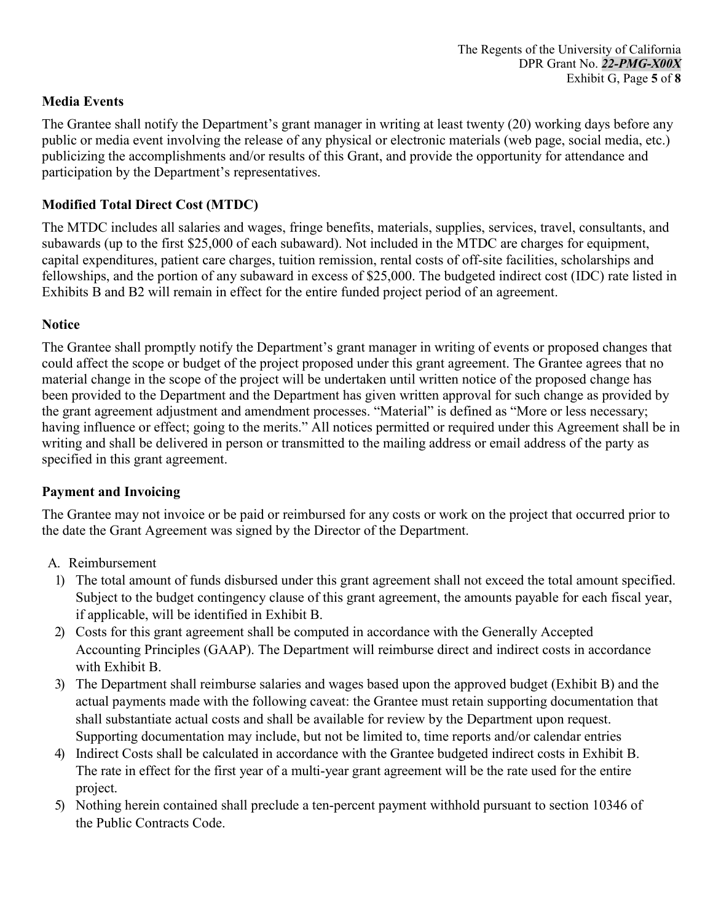## **Media Events**

The Grantee shall notify the Department's grant manager in writing at least twenty (20) working days before any public or media event involving the release of any physical or electronic materials (web page, social media, etc.) publicizing the accomplishments and/or results of this Grant, and provide the opportunity for attendance and participation by the Department's representatives.

## **Modified Total Direct Cost (MTDC)**

The MTDC includes all salaries and wages, fringe benefits, materials, supplies, services, travel, consultants, and subawards (up to the first \$25,000 of each subaward). Not included in the MTDC are charges for equipment, capital expenditures, patient care charges, tuition remission, rental costs of off-site facilities, scholarships and fellowships, and the portion of any subaward in excess of \$25,000. The budgeted indirect cost (IDC) rate listed in Exhibits B and B2 will remain in effect for the entire funded project period of an agreement.

### **Notice**

The Grantee shall promptly notify the Department's grant manager in writing of events or proposed changes that could affect the scope or budget of the project proposed under this grant agreement. The Grantee agrees that no material change in the scope of the project will be undertaken until written notice of the proposed change has been provided to the Department and the Department has given written approval for such change as provided by the grant agreement adjustment and amendment processes. "Material" is defined as "More or less necessary; having influence or effect; going to the merits." All notices permitted or required under this Agreement shall be in writing and shall be delivered in person or transmitted to the mailing address or email address of the party as specified in this grant agreement.

### **Payment and Invoicing**

The Grantee may not invoice or be paid or reimbursed for any costs or work on the project that occurred prior to the date the Grant Agreement was signed by the Director of the Department.

- A. Reimbursement
	- 1) The total amount of funds disbursed under this grant agreement shall not exceed the total amount specified. Subject to the budget contingency clause of this grant agreement, the amounts payable for each fiscal year, if applicable, will be identified in Exhibit B.
	- 2) Costs for this grant agreement shall be computed in accordance with the Generally Accepted Accounting Principles (GAAP). The Department will reimburse direct and indirect costs in accordance with Exhibit B.
	- 3) The Department shall reimburse salaries and wages based upon the approved budget (Exhibit B) and the actual payments made with the following caveat: the Grantee must retain supporting documentation that shall substantiate actual costs and shall be available for review by the Department upon request. Supporting documentation may include, but not be limited to, time reports and/or calendar entries
	- 4) Indirect Costs shall be calculated in accordance with the Grantee budgeted indirect costs in Exhibit B. The rate in effect for the first year of a multi-year grant agreement will be the rate used for the entire project.
	- 5) Nothing herein contained shall preclude a ten-percent payment withhold pursuant to section 10346 of the Public Contracts Code.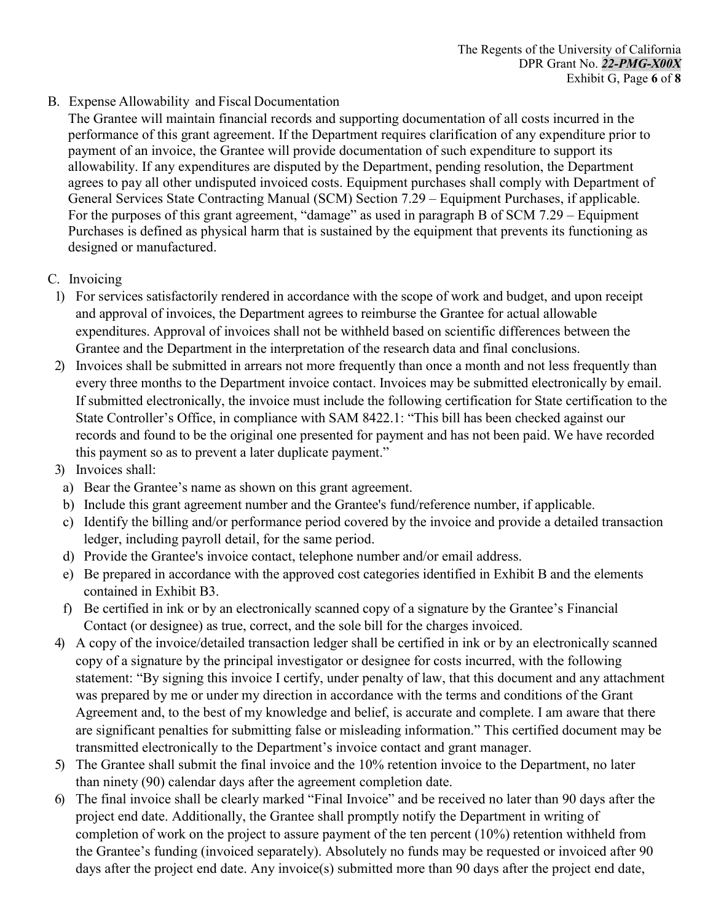B. Expense Allowability and Fiscal Documentation

The Grantee will maintain financial records and supporting documentation of all costs incurred in the performance of this grant agreement. If the Department requires clarification of any expenditure prior to payment of an invoice, the Grantee will provide documentation of such expenditure to support its allowability. If any expenditures are disputed by the Department, pending resolution, the Department agrees to pay all other undisputed invoiced costs. Equipment purchases shall comply with Department of General Services State Contracting Manual (SCM) Section 7.29 – Equipment Purchases, if applicable. For the purposes of this grant agreement, "damage" as used in paragraph B of SCM 7.29 – Equipment Purchases is defined as physical harm that is sustained by the equipment that prevents its functioning as designed or manufactured.

- C. Invoicing
	- 1) For services satisfactorily rendered in accordance with the scope of work and budget, and upon receipt and approval of invoices, the Department agrees to reimburse the Grantee for actual allowable expenditures. Approval of invoices shall not be withheld based on scientific differences between the Grantee and the Department in the interpretation of the research data and final conclusions.
- 2) Invoices shall be submitted in arrears not more frequently than once a month and not less frequently than every three months to the Department invoice contact. Invoices may be submitted electronically by email. If submitted electronically, the invoice must include the following certification for State certification to the State Controller's Office, in compliance with SAM 8422.1: "This bill has been checked against our records and found to be the original one presented for payment and has not been paid. We have recorded this payment so as to prevent a later duplicate payment."
- 3) Invoices shall:
- a) Bear the Grantee's name as shown on this grant agreement.
- b) Include this grant agreement number and the Grantee's fund/reference number, if applicable.
- c) Identify the billing and/or performance period covered by the invoice and provide a detailed transaction ledger, including payroll detail, for the same period.
- d) Provide the Grantee's invoice contact, telephone number and/or email address.
- e) Be prepared in accordance with the approved cost categories identified in Exhibit B and the elements contained in Exhibit B3.
- f) Be certified in ink or by an electronically scanned copy of a signature by the Grantee's Financial Contact (or designee) as true, correct, and the sole bill for the charges invoiced.
- 4) A copy of the invoice/detailed transaction ledger shall be certified in ink or by an electronically scanned copy of a signature by the principal investigator or designee for costs incurred, with the following statement: "By signing this invoice I certify, under penalty of law, that this document and any attachment was prepared by me or under my direction in accordance with the terms and conditions of the Grant Agreement and, to the best of my knowledge and belief, is accurate and complete. I am aware that there are significant penalties for submitting false or misleading information." This certified document may be transmitted electronically to the Department's invoice contact and grant manager.
- 5) The Grantee shall submit the final invoice and the 10% retention invoice to the Department, no later than ninety (90) calendar days after the agreement completion date.
- 6) The final invoice shall be clearly marked "Final Invoice" and be received no later than 90 days after the project end date. Additionally, the Grantee shall promptly notify the Department in writing of completion of work on the project to assure payment of the ten percent (10%) retention withheld from the Grantee's funding (invoiced separately). Absolutely no funds may be requested or invoiced after 90 days after the project end date. Any invoice(s) submitted more than 90 days after the project end date,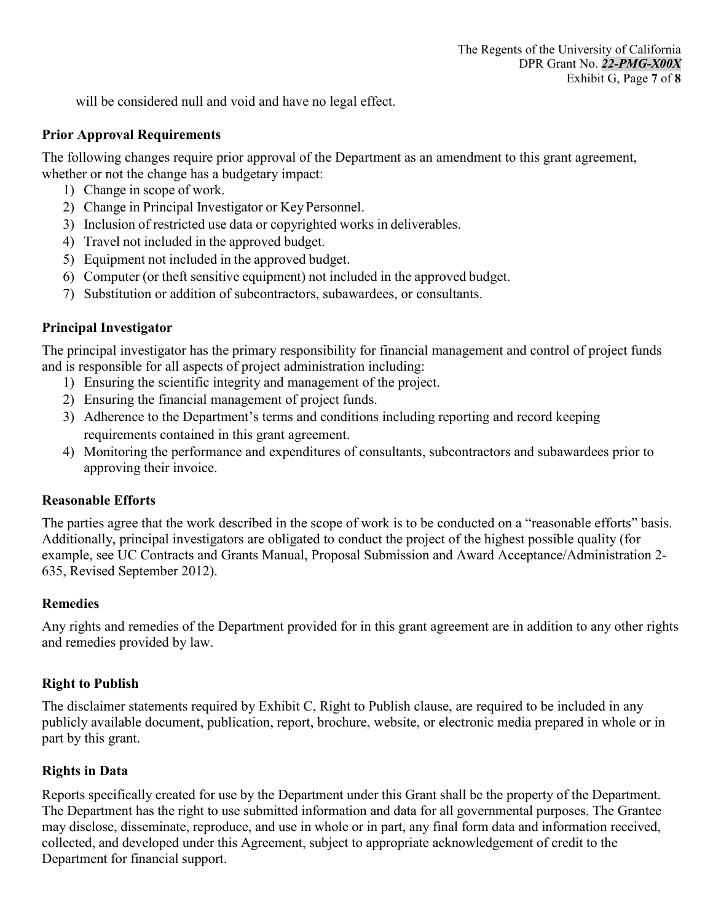will be considered null and void and have no legal effect.

### **Prior Approval Requirements**

The following changes require prior approval of the Department as an amendment to this grant agreement, whether or not the change has a budgetary impact:

- 1) Change in scope of work.
- 2) Change in Principal Investigator or Key Personnel.
- 3) Inclusion of restricted use data or copyrighted works in deliverables.
- 4) Travel not included in the approved budget.
- 5) Equipment not included in the approved budget.
- 6) Computer (or theft sensitive equipment) not included in the approved budget.
- 7) Substitution or addition of subcontractors, subawardees, or consultants.

### **Principal Investigator**

The principal investigator has the primary responsibility for financial management and control of project funds and is responsible for all aspects of project administration including:

- 1) Ensuring the scientific integrity and management of the project.
- 2) Ensuring the financial management of project funds.
- 3) Adherence to the Department's terms and conditions including reporting and record keeping requirements contained in this grant agreement.
- 4) Monitoring the performance and expenditures of consultants, subcontractors and subawardees prior to approving their invoice.

### **Reasonable Efforts**

The parties agree that the work described in the scope of work is to be conducted on a "reasonable efforts" basis. Additionally, principal investigators are obligated to conduct the project of the highest possible quality (for example, see UC Contracts and Grants Manual, Proposal Submission and Award Acceptance/Administration 2- 635, Revised September 2012).

### **Remedies**

Any rights and remedies of the Department provided for in this grant agreement are in addition to any other rights and remedies provided by law.

### **Right to Publish**

The disclaimer statements required by Exhibit C, Right to Publish clause, are required to be included in any publicly available document, publication, report, brochure, website, or electronic media prepared in whole or in part by this grant.

### **Rights in Data**

Reports specifically created for use by the Department under this Grant shall be the property of the Department. The Department has the right to use submitted information and data for all governmental purposes. The Grantee may disclose, disseminate, reproduce, and use in whole or in part, any final form data and information received, collected, and developed under this Agreement, subject to appropriate acknowledgement of credit to the Department for financial support.